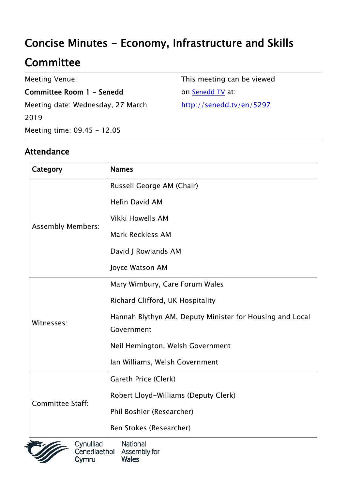# Concise Minutes - Economy, Infrastructure and Skills

## **Committee**

Meeting Venue:

Committee Room 1 - Senedd

Meeting date: Wednesday, 27 March 2019 Meeting time: 09.45 - 12.05

Attendance

This meeting can be viewed on [Senedd TV](http://senedd.tv/) at: http://senedd.tv/en/5297

| Category                 | <b>Names</b>                                             |
|--------------------------|----------------------------------------------------------|
| <b>Assembly Members:</b> | Russell George AM (Chair)                                |
|                          | <b>Hefin David AM</b>                                    |
|                          | Vikki Howells AM                                         |
|                          | <b>Mark Reckless AM</b>                                  |
|                          | David J Rowlands AM                                      |
|                          | Joyce Watson AM                                          |
| Witnesses:               | Mary Wimbury, Care Forum Wales                           |
|                          | Richard Clifford, UK Hospitality                         |
|                          | Hannah Blythyn AM, Deputy Minister for Housing and Local |
|                          | Government                                               |
|                          | Neil Hemington, Welsh Government                         |
|                          | Ian Williams, Welsh Government                           |
| Committee Staff:         | Gareth Price (Clerk)                                     |
|                          | Robert Lloyd-Williams (Deputy Clerk)                     |
|                          | Phil Boshier (Researcher)                                |
|                          | Ben Stokes (Researcher)                                  |



Cynulliad National Cenedlaethol Assembly for **Wales** Cymru